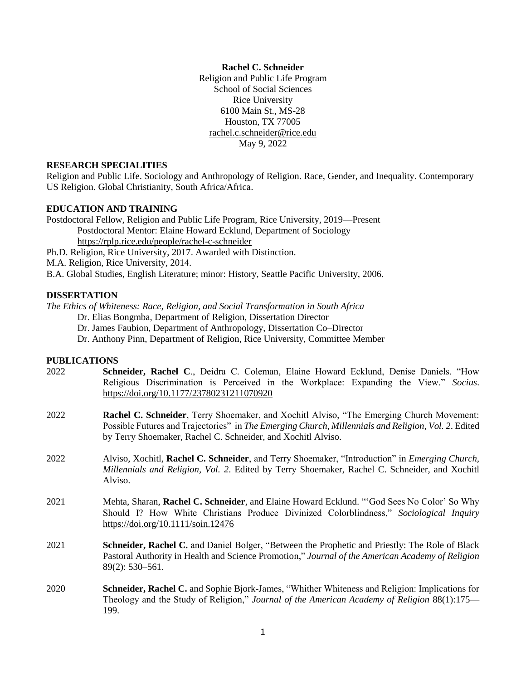#### **Rachel C. Schneider**

Religion and Public Life Program School of Social Sciences Rice University 6100 Main St., MS-28 Houston, TX 77005 [rachel.c.schneider@rice.edu](mailto:rachel.c.schneider@rice.edu) May 9, 2022

## **RESEARCH SPECIALITIES**

Religion and Public Life. Sociology and Anthropology of Religion. Race, Gender, and Inequality. Contemporary US Religion. Global Christianity, South Africa/Africa.

#### **EDUCATION AND TRAINING**

Postdoctoral Fellow, Religion and Public Life Program, Rice University, 2019—Present Postdoctoral Mentor: Elaine Howard Ecklund, Department of Sociology <https://rplp.rice.edu/people/rachel-c-schneider> Ph.D. Religion, Rice University, 2017. Awarded with Distinction.

M.A. Religion, Rice University, 2014.

199.

B.A. Global Studies, English Literature; minor: History, Seattle Pacific University, 2006.

#### **DISSERTATION**

*The Ethics of Whiteness: Race, Religion, and Social Transformation in South Africa*

Dr. Elias Bongmba, Department of Religion, Dissertation Director

Dr. James Faubion, Department of Anthropology, Dissertation Co–Director

Dr. Anthony Pinn, Department of Religion, Rice University, Committee Member

#### **PUBLICATIONS**

| 2022 | Schneider, Rachel C., Deidra C. Coleman, Elaine Howard Ecklund, Denise Daniels. "How<br>Religious Discrimination is Perceived in the Workplace: Expanding the View." Socius.<br>https://doi.org/10.1177/23780231211070920                                               |
|------|-------------------------------------------------------------------------------------------------------------------------------------------------------------------------------------------------------------------------------------------------------------------------|
| 2022 | <b>Rachel C. Schneider</b> , Terry Shoemaker, and Xochitl Alviso, "The Emerging Church Movement:<br>Possible Futures and Trajectories" in The Emerging Church, Millennials and Religion, Vol. 2. Edited<br>by Terry Shoemaker, Rachel C. Schneider, and Xochitl Alviso. |
| 2022 | Alviso, Xochitl, Rachel C. Schneider, and Terry Shoemaker, "Introduction" in <i>Emerging Church</i> ,<br>Millennials and Religion, Vol. 2. Edited by Terry Shoemaker, Rachel C. Schneider, and Xochitl<br>Alviso.                                                       |
| 2021 | Mehta, Sharan, Rachel C. Schneider, and Elaine Howard Ecklund. "God Sees No Color' So Why<br>Should I? How White Christians Produce Divinized Colorblindness," Sociological Inquiry<br>https://doi.org/10.1111/soin.12476                                               |
| 2021 | Schneider, Rachel C. and Daniel Bolger, "Between the Prophetic and Priestly: The Role of Black<br>Pastoral Authority in Health and Science Promotion," Journal of the American Academy of Religion<br>$89(2): 530 - 561.$                                               |
| 2020 | <b>Schneider, Rachel C.</b> and Sophie Bjork-James, "Whither Whiteness and Religion: Implications for<br>Theology and the Study of Religion," Journal of the American Academy of Religion 88(1):175—                                                                    |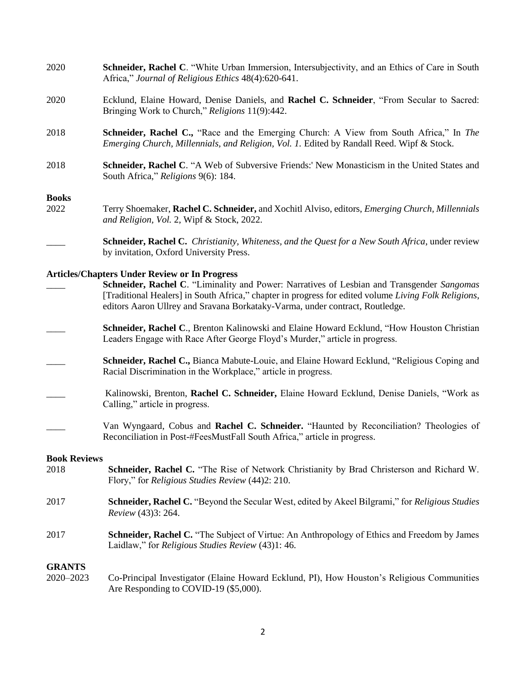| 2020                                                 | Schneider, Rachel C. "White Urban Immersion, Intersubjectivity, and an Ethics of Care in South<br>Africa," Journal of Religious Ethics 48(4):620-641.                                                                                                                              |
|------------------------------------------------------|------------------------------------------------------------------------------------------------------------------------------------------------------------------------------------------------------------------------------------------------------------------------------------|
| 2020                                                 | Ecklund, Elaine Howard, Denise Daniels, and Rachel C. Schneider, "From Secular to Sacred:<br>Bringing Work to Church," Religions 11(9):442.                                                                                                                                        |
| 2018                                                 | Schneider, Rachel C., "Race and the Emerging Church: A View from South Africa," In The<br>Emerging Church, Millennials, and Religion, Vol. 1. Edited by Randall Reed. Wipf & Stock.                                                                                                |
| 2018                                                 | Schneider, Rachel C. "A Web of Subversive Friends: New Monasticism in the United States and<br>South Africa," Religions 9(6): 184.                                                                                                                                                 |
| <b>Books</b>                                         |                                                                                                                                                                                                                                                                                    |
| 2022                                                 | Terry Shoemaker, Rachel C. Schneider, and Xochitl Alviso, editors, <i>Emerging Church, Millennials</i><br>and Religion, Vol. 2, Wipf & Stock, 2022.                                                                                                                                |
|                                                      | Schneider, Rachel C. Christianity, Whiteness, and the Quest for a New South Africa, under review<br>by invitation, Oxford University Press.                                                                                                                                        |
| <b>Articles/Chapters Under Review or In Progress</b> |                                                                                                                                                                                                                                                                                    |
|                                                      | Schneider, Rachel C. "Liminality and Power: Narratives of Lesbian and Transgender Sangomas<br>[Traditional Healers] in South Africa," chapter in progress for edited volume Living Folk Religions,<br>editors Aaron Ullrey and Sravana Borkataky-Varma, under contract, Routledge. |
|                                                      | Schneider, Rachel C., Brenton Kalinowski and Elaine Howard Ecklund, "How Houston Christian"<br>Leaders Engage with Race After George Floyd's Murder," article in progress.                                                                                                         |
|                                                      | Schneider, Rachel C., Bianca Mabute-Louie, and Elaine Howard Ecklund, "Religious Coping and<br>Racial Discrimination in the Workplace," article in progress.                                                                                                                       |
|                                                      | Kalinowski, Brenton, Rachel C. Schneider, Elaine Howard Ecklund, Denise Daniels, "Work as<br>Calling," article in progress.                                                                                                                                                        |
|                                                      | Van Wyngaard, Cobus and Rachel C. Schneider. "Haunted by Reconciliation? Theologies of<br>Reconciliation in Post-#FeesMustFall South Africa," article in progress.                                                                                                                 |
| <b>Book Reviews</b>                                  |                                                                                                                                                                                                                                                                                    |
| 2018                                                 | Schneider, Rachel C. "The Rise of Network Christianity by Brad Christerson and Richard W.<br>Flory," for Religious Studies Review (44)2: 210.                                                                                                                                      |
| 2017                                                 | <b>Schneider, Rachel C.</b> "Beyond the Secular West, edited by Akeel Bilgrami," for <i>Religious Studies</i><br>Review (43)3: 264.                                                                                                                                                |
| 2017                                                 | <b>Schneider, Rachel C.</b> "The Subject of Virtue: An Anthropology of Ethics and Freedom by James<br>Laidlaw," for Religious Studies Review (43)1: 46.                                                                                                                            |
| <b>GRANTS</b>                                        |                                                                                                                                                                                                                                                                                    |
| 2020-2023                                            | Co-Principal Investigator (Elaine Howard Ecklund, PI), How Houston's Religious Communities<br>Are Responding to COVID-19 (\$5,000).                                                                                                                                                |
|                                                      |                                                                                                                                                                                                                                                                                    |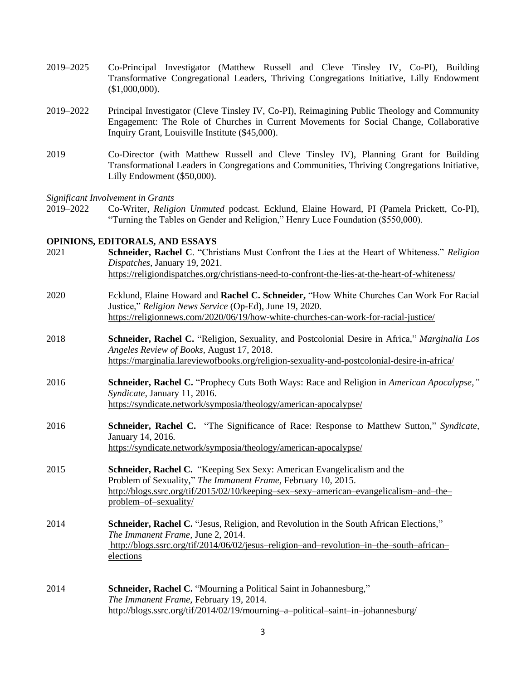- 2019–2025 Co-Principal Investigator (Matthew Russell and Cleve Tinsley IV, Co-PI), Building Transformative Congregational Leaders, Thriving Congregations Initiative, Lilly Endowment (\$1,000,000).
- 2019–2022 Principal Investigator (Cleve Tinsley IV, Co-PI), Reimagining Public Theology and Community Engagement: The Role of Churches in Current Movements for Social Change, Collaborative Inquiry Grant, Louisville Institute (\$45,000).
- 2019 Co-Director (with Matthew Russell and Cleve Tinsley IV), Planning Grant for Building Transformational Leaders in Congregations and Communities, Thriving Congregations Initiative, Lilly Endowment (\$50,000).

*Significant Involvement in Grants* 

2019–2022 Co-Writer, *Religion Unmuted* podcast. Ecklund, Elaine Howard, PI (Pamela Prickett, Co-PI), "Turning the Tables on Gender and Religion," Henry Luce Foundation (\$550,000).

#### **OPINIONS, EDITORALS, AND ESSAYS**

2021 **Schneider, Rachel C**. "Christians Must Confront the Lies at the Heart of Whiteness." *Religion Dispatches*, January 19, 2021. <https://religiondispatches.org/christians-need-to-confront-the-lies-at-the-heart-of-whiteness/> 2020 Ecklund, Elaine Howard and **Rachel C. Schneider,** "How White Churches Can Work For Racial Justice," *Religion News Service* (Op-Ed), June 19, 2020. <https://religionnews.com/2020/06/19/how-white-churches-can-work-for-racial-justice/> 2018 **Schneider, Rachel C.** "Religion, Sexuality, and Postcolonial Desire in Africa," *Marginalia Los Angeles Review of Books*, August 17, 2018. <https://marginalia.lareviewofbooks.org/religion-sexuality-and-postcolonial-desire-in-africa/> 2016 **Schneider, Rachel C.** "Prophecy Cuts Both Ways: Race and Religion in *American Apocalypse," Syndicate*, January 11, 2016. <https://syndicate.network/symposia/theology/american-apocalypse/> 2016 **Schneider, Rachel C.** "The Significance of Race: Response to Matthew Sutton," *Syndicate,*  January 14, 2016*.* <https://syndicate.network/symposia/theology/american-apocalypse/> 2015 **Schneider, Rachel C.** "Keeping Sex Sexy: American Evangelicalism and the Problem of Sexuality," *The Immanent Frame,* February 10, 2015. [http://blogs.ssrc.org/tif/2015/02/10/keeping–sex–sexy–american–evangelicalism–and–the–](http://blogs.ssrc.org/tif/2015/02/10/keeping–sex–sexy–american–evangelicalism–and–the–problem–of–sexuality/) [problem–of–sexuality/](http://blogs.ssrc.org/tif/2015/02/10/keeping–sex–sexy–american–evangelicalism–and–the–problem–of–sexuality/) 2014 **Schneider, Rachel C.** "Jesus, Religion, and Revolution in the South African Elections," *The Immanent Frame,* June 2, 2014. [http://blogs.ssrc.org/tif/2014/06/02/jesus–religion–and–revolution–in–the–south–african–](http://blogs.ssrc.org/tif/2014/06/02/jesus-religion-and-revolution-in-the-south-african-elections) [elections](http://blogs.ssrc.org/tif/2014/06/02/jesus-religion-and-revolution-in-the-south-african-elections) 2014 **Schneider, Rachel C.** "Mourning a Political Saint in Johannesburg," *The Immanent Frame,* February 19, 2014. <http://blogs.ssrc.org/tif/2014/02/19/mourning–a–political–saint–in–johannesburg/>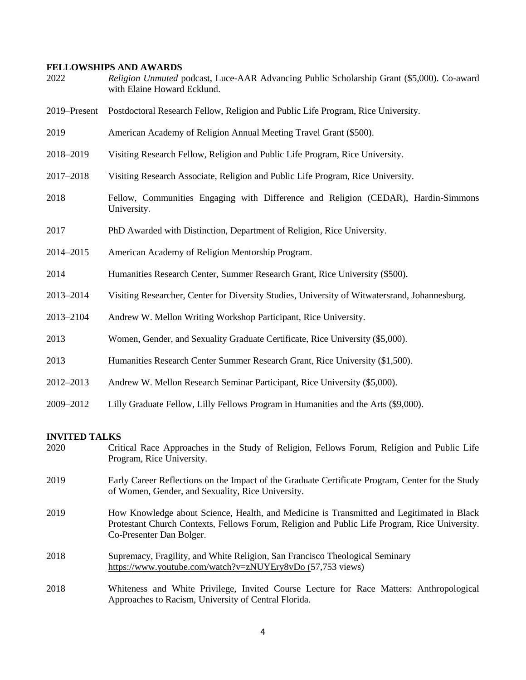# **FELLOWSHIPS AND AWARDS**

| 2022         | Religion Unmuted podcast, Luce-AAR Advancing Public Scholarship Grant (\$5,000). Co-award<br>with Elaine Howard Ecklund. |
|--------------|--------------------------------------------------------------------------------------------------------------------------|
| 2019-Present | Postdoctoral Research Fellow, Religion and Public Life Program, Rice University.                                         |
| 2019         | American Academy of Religion Annual Meeting Travel Grant (\$500).                                                        |
| 2018-2019    | Visiting Research Fellow, Religion and Public Life Program, Rice University.                                             |
| 2017-2018    | Visiting Research Associate, Religion and Public Life Program, Rice University.                                          |
| 2018         | Fellow, Communities Engaging with Difference and Religion (CEDAR), Hardin-Simmons<br>University.                         |
| 2017         | PhD Awarded with Distinction, Department of Religion, Rice University.                                                   |
| 2014-2015    | American Academy of Religion Mentorship Program.                                                                         |
| 2014         | Humanities Research Center, Summer Research Grant, Rice University (\$500).                                              |
| 2013-2014    | Visiting Researcher, Center for Diversity Studies, University of Witwatersrand, Johannesburg.                            |
| 2013-2104    | Andrew W. Mellon Writing Workshop Participant, Rice University.                                                          |
| 2013         | Women, Gender, and Sexuality Graduate Certificate, Rice University (\$5,000).                                            |
| 2013         | Humanities Research Center Summer Research Grant, Rice University (\$1,500).                                             |
| 2012-2013    | Andrew W. Mellon Research Seminar Participant, Rice University (\$5,000).                                                |
| 2009-2012    | Lilly Graduate Fellow, Lilly Fellows Program in Humanities and the Arts (\$9,000).                                       |

# **INVITED TALKS**

| 2020 | Critical Race Approaches in the Study of Religion, Fellows Forum, Religion and Public Life<br>Program, Rice University.                                                                                                |
|------|------------------------------------------------------------------------------------------------------------------------------------------------------------------------------------------------------------------------|
| 2019 | Early Career Reflections on the Impact of the Graduate Certificate Program, Center for the Study<br>of Women, Gender, and Sexuality, Rice University.                                                                  |
| 2019 | How Knowledge about Science, Health, and Medicine is Transmitted and Legitimated in Black<br>Protestant Church Contexts, Fellows Forum, Religion and Public Life Program, Rice University.<br>Co-Presenter Dan Bolger. |
| 2018 | Supremacy, Fragility, and White Religion, San Francisco Theological Seminary<br>https://www.youtube.com/watch?v=zNUYEry8vDo (57,753 views)                                                                             |
| 2018 | Whiteness and White Privilege, Invited Course Lecture for Race Matters: Anthropological<br>Approaches to Racism, University of Central Florida.                                                                        |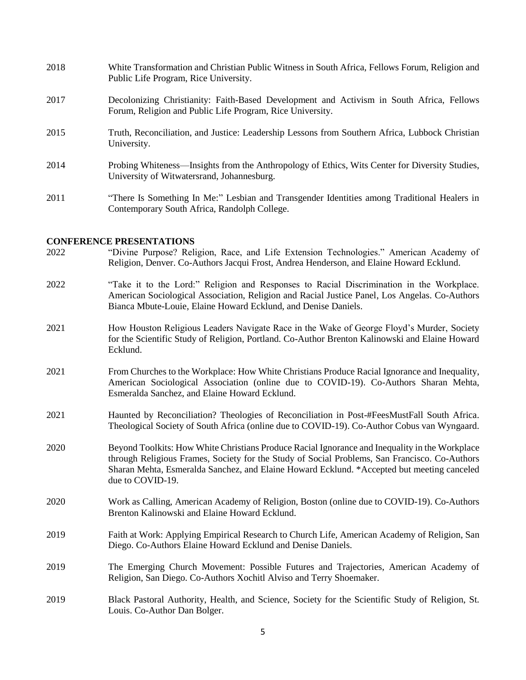| 2018 | White Transformation and Christian Public Witness in South Africa, Fellows Forum, Religion and<br>Public Life Program, Rice University.               |
|------|-------------------------------------------------------------------------------------------------------------------------------------------------------|
| 2017 | Decolonizing Christianity: Faith-Based Development and Activism in South Africa, Fellows<br>Forum, Religion and Public Life Program, Rice University. |
| 2015 | Truth, Reconciliation, and Justice: Leadership Lessons from Southern Africa, Lubbock Christian<br>University.                                         |
| 2014 | Probing Whiteness—Insights from the Anthropology of Ethics, Wits Center for Diversity Studies,<br>University of Witwatersrand, Johannesburg.          |
| 2011 | "There Is Something In Me:" Lesbian and Transgender Identities among Traditional Healers in<br>Contemporary South Africa, Randolph College.           |

# **CONFERENCE PRESENTATIONS**<br> **CONFERENCE PRESENTATIONS**

| 2022 | "Divine Purpose? Religion, Race, and Life Extension Technologies." American Academy of<br>Religion, Denver. Co-Authors Jacqui Frost, Andrea Henderson, and Elaine Howard Ecklund.                                                                                                                                 |
|------|-------------------------------------------------------------------------------------------------------------------------------------------------------------------------------------------------------------------------------------------------------------------------------------------------------------------|
| 2022 | "Take it to the Lord:" Religion and Responses to Racial Discrimination in the Workplace.<br>American Sociological Association, Religion and Racial Justice Panel, Los Angelas. Co-Authors<br>Bianca Mbute-Louie, Elaine Howard Ecklund, and Denise Daniels.                                                       |
| 2021 | How Houston Religious Leaders Navigate Race in the Wake of George Floyd's Murder, Society<br>for the Scientific Study of Religion, Portland. Co-Author Brenton Kalinowski and Elaine Howard<br>Ecklund.                                                                                                           |
| 2021 | From Churches to the Workplace: How White Christians Produce Racial Ignorance and Inequality,<br>American Sociological Association (online due to COVID-19). Co-Authors Sharan Mehta,<br>Esmeralda Sanchez, and Elaine Howard Ecklund.                                                                            |
| 2021 | Haunted by Reconciliation? Theologies of Reconciliation in Post-#FeesMustFall South Africa.<br>Theological Society of South Africa (online due to COVID-19). Co-Author Cobus van Wyngaard.                                                                                                                        |
| 2020 | Beyond Toolkits: How White Christians Produce Racial Ignorance and Inequality in the Workplace<br>through Religious Frames, Society for the Study of Social Problems, San Francisco. Co-Authors<br>Sharan Mehta, Esmeralda Sanchez, and Elaine Howard Ecklund. *Accepted but meeting canceled<br>due to COVID-19. |
| 2020 | Work as Calling, American Academy of Religion, Boston (online due to COVID-19). Co-Authors<br>Brenton Kalinowski and Elaine Howard Ecklund.                                                                                                                                                                       |
| 2019 | Faith at Work: Applying Empirical Research to Church Life, American Academy of Religion, San<br>Diego. Co-Authors Elaine Howard Ecklund and Denise Daniels.                                                                                                                                                       |
| 2019 | The Emerging Church Movement: Possible Futures and Trajectories, American Academy of<br>Religion, San Diego. Co-Authors Xochitl Alviso and Terry Shoemaker.                                                                                                                                                       |
| 2019 | Black Pastoral Authority, Health, and Science, Society for the Scientific Study of Religion, St.<br>Louis. Co-Author Dan Bolger.                                                                                                                                                                                  |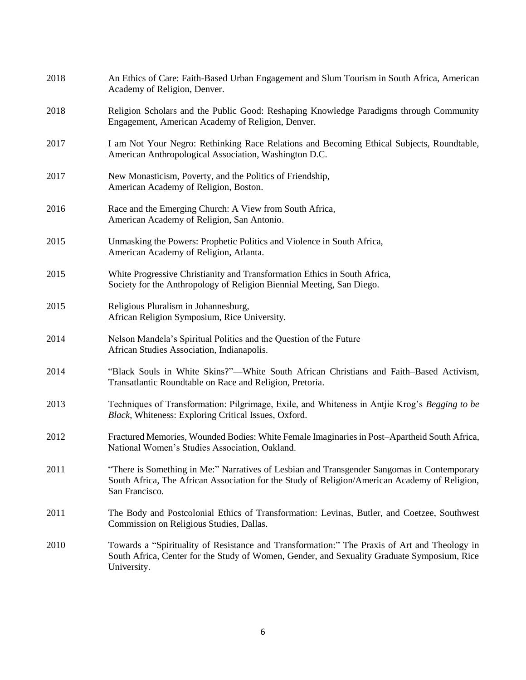| 2018 | An Ethics of Care: Faith-Based Urban Engagement and Slum Tourism in South Africa, American<br>Academy of Religion, Denver.                                                                                    |
|------|---------------------------------------------------------------------------------------------------------------------------------------------------------------------------------------------------------------|
| 2018 | Religion Scholars and the Public Good: Reshaping Knowledge Paradigms through Community<br>Engagement, American Academy of Religion, Denver.                                                                   |
| 2017 | I am Not Your Negro: Rethinking Race Relations and Becoming Ethical Subjects, Roundtable,<br>American Anthropological Association, Washington D.C.                                                            |
| 2017 | New Monasticism, Poverty, and the Politics of Friendship,<br>American Academy of Religion, Boston.                                                                                                            |
| 2016 | Race and the Emerging Church: A View from South Africa,<br>American Academy of Religion, San Antonio.                                                                                                         |
| 2015 | Unmasking the Powers: Prophetic Politics and Violence in South Africa,<br>American Academy of Religion, Atlanta.                                                                                              |
| 2015 | White Progressive Christianity and Transformation Ethics in South Africa,<br>Society for the Anthropology of Religion Biennial Meeting, San Diego.                                                            |
| 2015 | Religious Pluralism in Johannesburg,<br>African Religion Symposium, Rice University.                                                                                                                          |
| 2014 | Nelson Mandela's Spiritual Politics and the Question of the Future<br>African Studies Association, Indianapolis.                                                                                              |
| 2014 | "Black Souls in White Skins?"—White South African Christians and Faith–Based Activism,<br>Transatlantic Roundtable on Race and Religion, Pretoria.                                                            |
| 2013 | Techniques of Transformation: Pilgrimage, Exile, and Whiteness in Antjie Krog's Begging to be<br>Black, Whiteness: Exploring Critical Issues, Oxford.                                                         |
| 2012 | Fractured Memories, Wounded Bodies: White Female Imaginaries in Post-Apartheid South Africa,<br>National Women's Studies Association, Oakland.                                                                |
| 2011 | "There is Something in Me:" Narratives of Lesbian and Transgender Sangomas in Contemporary<br>South Africa, The African Association for the Study of Religion/American Academy of Religion,<br>San Francisco. |
| 2011 | The Body and Postcolonial Ethics of Transformation: Levinas, Butler, and Coetzee, Southwest<br>Commission on Religious Studies, Dallas.                                                                       |
| 2010 | Towards a "Spirituality of Resistance and Transformation:" The Praxis of Art and Theology in<br>South Africa, Center for the Study of Women, Gender, and Sexuality Graduate Symposium, Rice<br>University.    |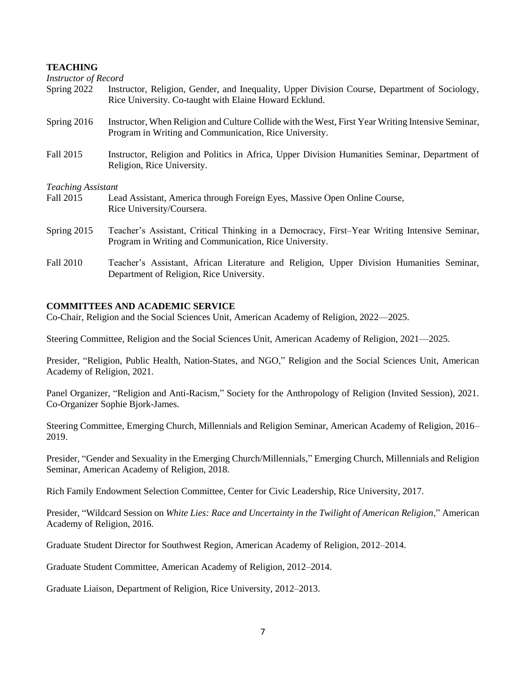#### **TEACHING**

| <b>Instructor of Record</b> |                                                                                                                                                              |
|-----------------------------|--------------------------------------------------------------------------------------------------------------------------------------------------------------|
| Spring 2022                 | Instructor, Religion, Gender, and Inequality, Upper Division Course, Department of Sociology,<br>Rice University. Co-taught with Elaine Howard Ecklund.      |
| Spring 2016                 | Instructor, When Religion and Culture Collide with the West, First Year Writing Intensive Seminar,<br>Program in Writing and Communication, Rice University. |
| Fall 2015                   | Instructor, Religion and Politics in Africa, Upper Division Humanities Seminar, Department of<br>Religion, Rice University.                                  |
| <b>Teaching Assistant</b>   |                                                                                                                                                              |
| Fall 2015                   | Lead Assistant, America through Foreign Eyes, Massive Open Online Course,<br>Rice University/Coursera.                                                       |
| Spring 2015                 | Teacher's Assistant, Critical Thinking in a Democracy, First–Year Writing Intensive Seminar,<br>Program in Writing and Communication, Rice University.       |
| Fall 2010                   | Teacher's Assistant, African Literature and Religion, Upper Division Humanities Seminar,                                                                     |

## **COMMITTEES AND ACADEMIC SERVICE**

Co-Chair, Religion and the Social Sciences Unit, American Academy of Religion, 2022—2025.

Steering Committee, Religion and the Social Sciences Unit, American Academy of Religion, 2021—2025.

Presider, "Religion, Public Health, Nation-States, and NGO," Religion and the Social Sciences Unit, American Academy of Religion, 2021.

Panel Organizer, "Religion and Anti-Racism," Society for the Anthropology of Religion (Invited Session), 2021. Co-Organizer Sophie Bjork-James.

Steering Committee, Emerging Church, Millennials and Religion Seminar, American Academy of Religion, 2016– 2019.

Presider, "Gender and Sexuality in the Emerging Church/Millennials," Emerging Church, Millennials and Religion Seminar, American Academy of Religion, 2018.

Rich Family Endowment Selection Committee, Center for Civic Leadership, Rice University, 2017.

Presider, "Wildcard Session on *White Lies: Race and Uncertainty in the Twilight of American Religion*," American Academy of Religion, 2016.

Graduate Student Director for Southwest Region, American Academy of Religion, 2012–2014.

Graduate Student Committee, American Academy of Religion, 2012–2014.

Graduate Liaison, Department of Religion, Rice University, 2012–2013.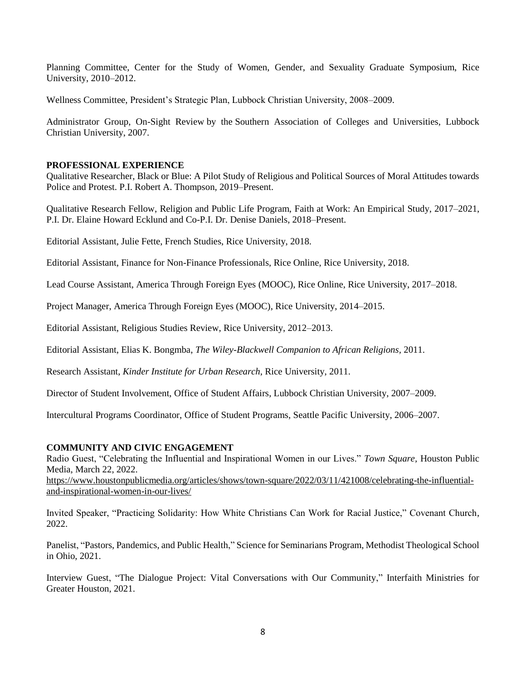Planning Committee, Center for the Study of Women, Gender, and Sexuality Graduate Symposium, Rice University, 2010–2012.

Wellness Committee, President's Strategic Plan, Lubbock Christian University, 2008–2009.

Administrator Group, On-Sight Review by the Southern Association of Colleges and Universities, Lubbock Christian University, 2007.

#### **PROFESSIONAL EXPERIENCE**

Qualitative Researcher, Black or Blue: A Pilot Study of Religious and Political Sources of Moral Attitudes towards Police and Protest. P.I. Robert A. Thompson, 2019–Present.

Qualitative Research Fellow, Religion and Public Life Program, Faith at Work: An Empirical Study, 2017–2021, P.I. Dr. Elaine Howard Ecklund and Co-P.I. Dr. Denise Daniels, 2018–Present.

Editorial Assistant, Julie Fette, French Studies, Rice University, 2018.

Editorial Assistant, Finance for Non-Finance Professionals, Rice Online, Rice University, 2018.

Lead Course Assistant, America Through Foreign Eyes (MOOC), Rice Online, Rice University, 2017–2018.

Project Manager, America Through Foreign Eyes (MOOC), Rice University, 2014–2015.

Editorial Assistant, Religious Studies Review, Rice University, 2012–2013.

Editorial Assistant, Elias K. Bongmba, *The Wiley-Blackwell Companion to African Religions,* 2011.

Research Assistant, *Kinder Institute for Urban Research*, Rice University, 2011.

Director of Student Involvement, Office of Student Affairs, Lubbock Christian University, 2007–2009.

Intercultural Programs Coordinator, Office of Student Programs, Seattle Pacific University, 2006–2007.

#### **COMMUNITY AND CIVIC ENGAGEMENT**

Radio Guest, "Celebrating the Influential and Inspirational Women in our Lives." *Town Square,* Houston Public Media, March 22, 2022.

[https://www.houstonpublicmedia.org/articles/shows/town-square/2022/03/11/421008/celebrating-the-influential](https://www.houstonpublicmedia.org/articles/shows/town-square/2022/03/11/421008/celebrating-the-influential-and-inspirational-women-in-our-lives/)[and-inspirational-women-in-our-lives/](https://www.houstonpublicmedia.org/articles/shows/town-square/2022/03/11/421008/celebrating-the-influential-and-inspirational-women-in-our-lives/)

Invited Speaker, "Practicing Solidarity: How White Christians Can Work for Racial Justice," Covenant Church, 2022.

Panelist, "Pastors, Pandemics, and Public Health," Science for Seminarians Program, Methodist Theological School in Ohio, 2021.

Interview Guest, "The Dialogue Project: Vital Conversations with Our Community," Interfaith Ministries for Greater Houston, 2021.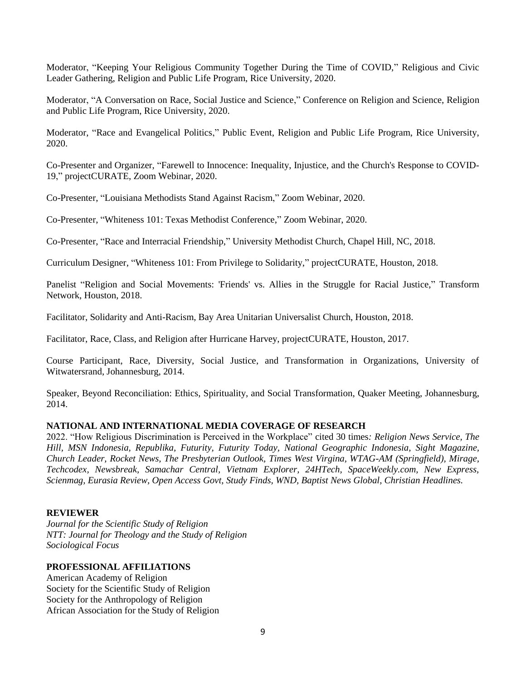Moderator, "Keeping Your Religious Community Together During the Time of COVID," Religious and Civic Leader Gathering, Religion and Public Life Program, Rice University, 2020.

Moderator, "A Conversation on Race, Social Justice and Science," Conference on Religion and Science, Religion and Public Life Program, Rice University, 2020.

Moderator, "Race and Evangelical Politics," Public Event, Religion and Public Life Program, Rice University, 2020.

Co-Presenter and Organizer, "Farewell to Innocence: Inequality, Injustice, and the Church's Response to COVID-19," projectCURATE, Zoom Webinar, 2020.

Co-Presenter, "Louisiana Methodists Stand Against Racism," Zoom Webinar, 2020.

Co-Presenter, "Whiteness 101: Texas Methodist Conference," Zoom Webinar, 2020.

Co-Presenter, "Race and Interracial Friendship," University Methodist Church, Chapel Hill, NC, 2018.

Curriculum Designer, "Whiteness 101: From Privilege to Solidarity," projectCURATE, Houston, 2018.

Panelist "Religion and Social Movements: 'Friends' vs. Allies in the Struggle for Racial Justice," Transform Network, Houston, 2018.

Facilitator, Solidarity and Anti-Racism, Bay Area Unitarian Universalist Church, Houston, 2018.

Facilitator, Race, Class, and Religion after Hurricane Harvey, projectCURATE, Houston, 2017.

Course Participant, Race, Diversity, Social Justice, and Transformation in Organizations, University of Witwatersrand, Johannesburg, 2014.

Speaker, Beyond Reconciliation: Ethics, Spirituality, and Social Transformation, Quaker Meeting, Johannesburg, 2014.

#### **NATIONAL AND INTERNATIONAL MEDIA COVERAGE OF RESEARCH**

2022. "How Religious Discrimination is Perceived in the Workplace" cited 30 times*: Religion News Service, The Hill, MSN Indonesia, Republika, Futurity, Futurity Today, National Geographic Indonesia, Sight Magazine, Church Leader, Rocket News, The Presbyterian Outlook, Times West Virgina, WTAG-AM (Springfield), Mirage, Techcodex, Newsbreak, Samachar Central, Vietnam Explorer, 24HTech, SpaceWeekly.com, New Express, Scienmag, Eurasia Review, Open Access Govt, Study Finds, WND, Baptist News Global, Christian Headlines.*

#### **REVIEWER**

*Journal for the Scientific Study of Religion NTT: Journal for Theology and the Study of Religion Sociological Focus* 

#### **PROFESSIONAL AFFILIATIONS**

American Academy of Religion Society for the Scientific Study of Religion Society for the Anthropology of Religion African Association for the Study of Religion